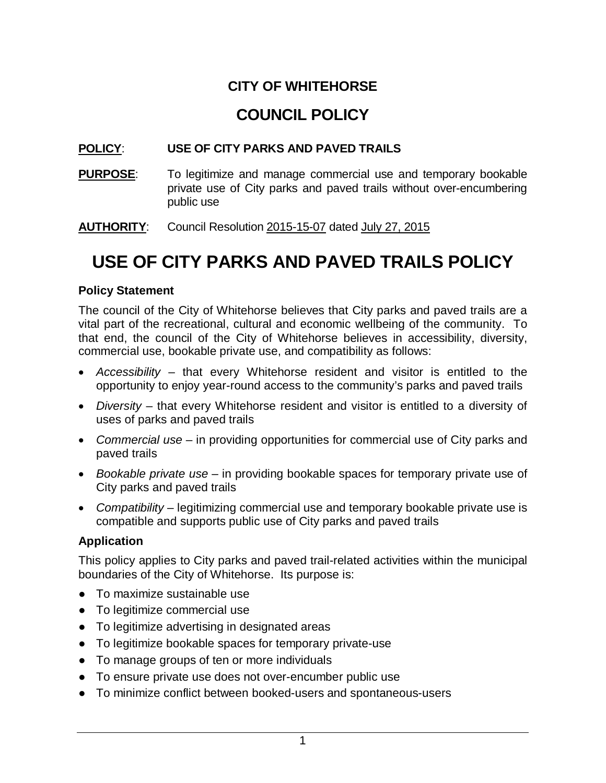## **CITY OF WHITEHORSE**

# **COUNCIL POLICY**

## **POLICY**: **USE OF CITY PARKS AND PAVED TRAILS**

**PURPOSE:** To legitimize and manage commercial use and temporary bookable private use of City parks and paved trails without over-encumbering public use

**AUTHORITY**: Council Resolution 2015-15-07 dated July 27, 2015

# **USE OF CITY PARKS AND PAVED TRAILS POLICY**

#### **Policy Statement**

The council of the City of Whitehorse believes that City parks and paved trails are a vital part of the recreational, cultural and economic wellbeing of the community. To that end, the council of the City of Whitehorse believes in accessibility, diversity, commercial use, bookable private use, and compatibility as follows:

- *Accessibility* that every Whitehorse resident and visitor is entitled to the opportunity to enjoy year-round access to the community's parks and paved trails
- *Diversity* that every Whitehorse resident and visitor is entitled to a diversity of uses of parks and paved trails
- *Commercial use* in providing opportunities for commercial use of City parks and paved trails
- *Bookable private use* in providing bookable spaces for temporary private use of City parks and paved trails
- *Compatibility* legitimizing commercial use and temporary bookable private use is compatible and supports public use of City parks and paved trails

## **Application**

This policy applies to City parks and paved trail-related activities within the municipal boundaries of the City of Whitehorse. Its purpose is:

- To maximize sustainable use
- To legitimize commercial use
- To legitimize advertising in designated areas
- To legitimize bookable spaces for temporary private-use
- To manage groups of ten or more individuals
- To ensure private use does not over-encumber public use
- To minimize conflict between booked-users and spontaneous-users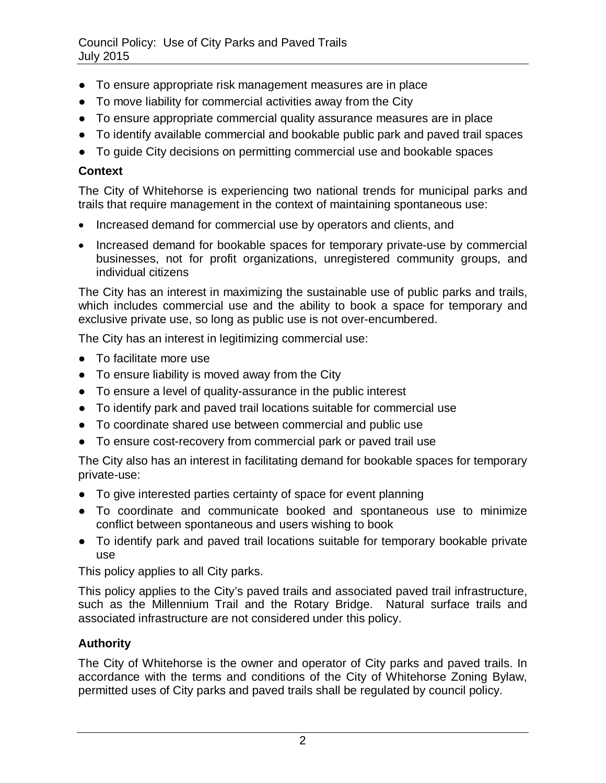- To ensure appropriate risk management measures are in place
- To move liability for commercial activities away from the City
- To ensure appropriate commercial quality assurance measures are in place
- To identify available commercial and bookable public park and paved trail spaces
- To guide City decisions on permitting commercial use and bookable spaces

## **Context**

The City of Whitehorse is experiencing two national trends for municipal parks and trails that require management in the context of maintaining spontaneous use:

- Increased demand for commercial use by operators and clients, and
- Increased demand for bookable spaces for temporary private-use by commercial businesses, not for profit organizations, unregistered community groups, and individual citizens

The City has an interest in maximizing the sustainable use of public parks and trails, which includes commercial use and the ability to book a space for temporary and exclusive private use, so long as public use is not over-encumbered.

The City has an interest in legitimizing commercial use:

- To facilitate more use
- To ensure liability is moved away from the City
- To ensure a level of quality-assurance in the public interest
- To identify park and paved trail locations suitable for commercial use
- To coordinate shared use between commercial and public use
- To ensure cost-recovery from commercial park or paved trail use

The City also has an interest in facilitating demand for bookable spaces for temporary private-use:

- To give interested parties certainty of space for event planning
- To coordinate and communicate booked and spontaneous use to minimize conflict between spontaneous and users wishing to book
- To identify park and paved trail locations suitable for temporary bookable private use

This policy applies to all City parks.

This policy applies to the City's paved trails and associated paved trail infrastructure, such as the Millennium Trail and the Rotary Bridge. Natural surface trails and associated infrastructure are not considered under this policy.

## **Authority**

The City of Whitehorse is the owner and operator of City parks and paved trails. In accordance with the terms and conditions of the City of Whitehorse Zoning Bylaw, permitted uses of City parks and paved trails shall be regulated by council policy.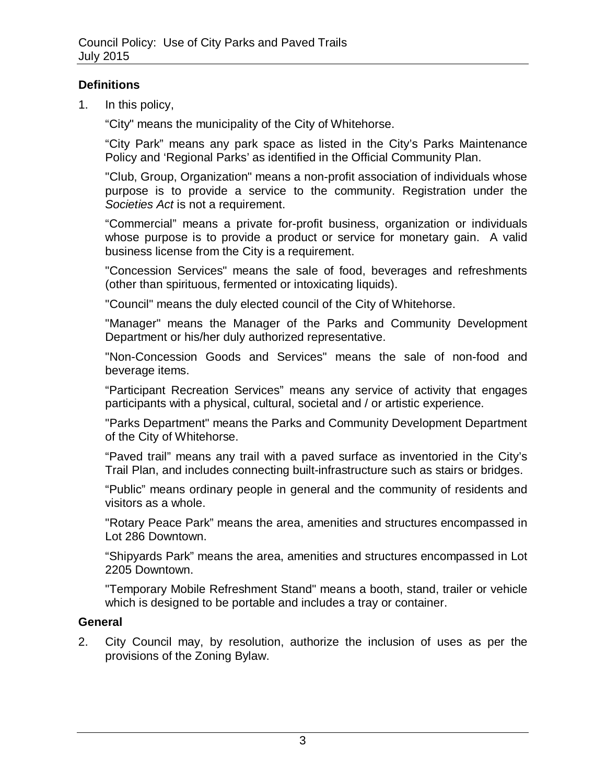## **Definitions**

1. In this policy,

"City" means the municipality of the City of Whitehorse.

"City Park" means any park space as listed in the City's Parks Maintenance Policy and 'Regional Parks' as identified in the Official Community Plan.

"Club, Group, Organization" means a non-profit association of individuals whose purpose is to provide a service to the community. Registration under the *Societies Act* is not a requirement.

"Commercial" means a private for-profit business, organization or individuals whose purpose is to provide a product or service for monetary gain. A valid business license from the City is a requirement.

"Concession Services" means the sale of food, beverages and refreshments (other than spirituous, fermented or intoxicating liquids).

"Council" means the duly elected council of the City of Whitehorse.

"Manager" means the Manager of the Parks and Community Development Department or his/her duly authorized representative.

"Non-Concession Goods and Services" means the sale of non-food and beverage items.

"Participant Recreation Services" means any service of activity that engages participants with a physical, cultural, societal and / or artistic experience.

"Parks Department" means the Parks and Community Development Department of the City of Whitehorse.

"Paved trail" means any trail with a paved surface as inventoried in the City's Trail Plan, and includes connecting built-infrastructure such as stairs or bridges.

"Public" means ordinary people in general and the community of residents and visitors as a whole.

"Rotary Peace Park" means the area, amenities and structures encompassed in Lot 286 Downtown.

"Shipyards Park" means the area, amenities and structures encompassed in Lot 2205 Downtown.

"Temporary Mobile Refreshment Stand" means a booth, stand, trailer or vehicle which is designed to be portable and includes a tray or container.

## **General**

2. City Council may, by resolution, authorize the inclusion of uses as per the provisions of the Zoning Bylaw.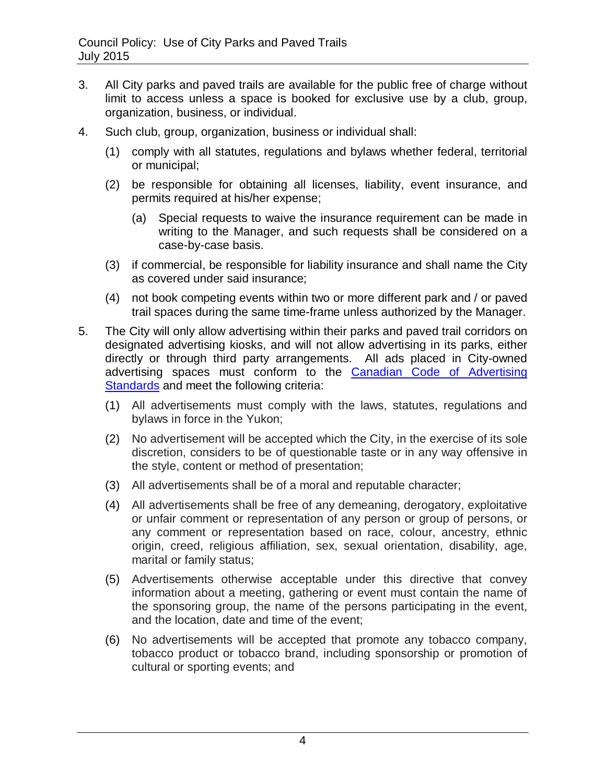- 3. All City parks and paved trails are available for the public free of charge without limit to access unless a space is booked for exclusive use by a club, group, organization, business, or individual.
- 4. Such club, group, organization, business or individual shall:
	- (1) comply with all statutes, regulations and bylaws whether federal, territorial or municipal;
	- (2) be responsible for obtaining all licenses, liability, event insurance, and permits required at his/her expense;
		- (a) Special requests to waive the insurance requirement can be made in writing to the Manager, and such requests shall be considered on a case-by-case basis.
	- (3) if commercial, be responsible for liability insurance and shall name the City as covered under said insurance;
	- (4) not book competing events within two or more different park and / or paved trail spaces during the same time-frame unless authorized by the Manager.
- 5. The City will only allow advertising within their parks and paved trail corridors on designated advertising kiosks, and will not allow advertising in its parks, either directly or through third party arrangements. All ads placed in City-owned advertising spaces must conform to the [Canadian Code of Advertising](http://www.adstandards.com/en/standards/theCode.aspx)  [Standards](http://www.adstandards.com/en/standards/theCode.aspx) and meet the following criteria:
	- (1) All advertisements must comply with the laws, statutes, regulations and bylaws in force in the Yukon;
	- (2) No advertisement will be accepted which the City, in the exercise of its sole discretion, considers to be of questionable taste or in any way offensive in the style, content or method of presentation;
	- (3) All advertisements shall be of a moral and reputable character;
	- (4) All advertisements shall be free of any demeaning, derogatory, exploitative or unfair comment or representation of any person or group of persons, or any comment or representation based on race, colour, ancestry, ethnic origin, creed, religious affiliation, sex, sexual orientation, disability, age, marital or family status;
	- (5) Advertisements otherwise acceptable under this directive that convey information about a meeting, gathering or event must contain the name of the sponsoring group, the name of the persons participating in the event, and the location, date and time of the event;
	- (6) No advertisements will be accepted that promote any tobacco company, tobacco product or tobacco brand, including sponsorship or promotion of cultural or sporting events; and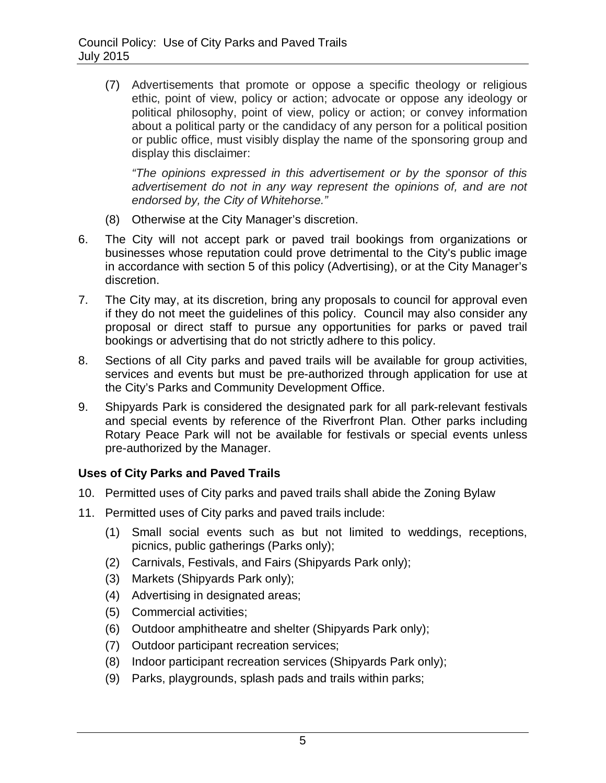(7) Advertisements that promote or oppose a specific theology or religious ethic, point of view, policy or action; advocate or oppose any ideology or political philosophy, point of view, policy or action; or convey information about a political party or the candidacy of any person for a political position or public office, must visibly display the name of the sponsoring group and display this disclaimer:

*"The opinions expressed in this advertisement or by the sponsor of this advertisement do not in any way represent the opinions of, and are not endorsed by, the City of Whitehorse."*

- (8) Otherwise at the City Manager's discretion.
- 6. The City will not accept park or paved trail bookings from organizations or businesses whose reputation could prove detrimental to the City's public image in accordance with section 5 of this policy (Advertising), or at the City Manager's discretion.
- 7. The City may, at its discretion, bring any proposals to council for approval even if they do not meet the guidelines of this policy. Council may also consider any proposal or direct staff to pursue any opportunities for parks or paved trail bookings or advertising that do not strictly adhere to this policy.
- 8. Sections of all City parks and paved trails will be available for group activities, services and events but must be pre-authorized through application for use at the City's Parks and Community Development Office.
- 9. Shipyards Park is considered the designated park for all park-relevant festivals and special events by reference of the Riverfront Plan. Other parks including Rotary Peace Park will not be available for festivals or special events unless pre-authorized by the Manager.

## **Uses of City Parks and Paved Trails**

- 10. Permitted uses of City parks and paved trails shall abide the Zoning Bylaw
- 11. Permitted uses of City parks and paved trails include:
	- (1) Small social events such as but not limited to weddings, receptions, picnics, public gatherings (Parks only);
	- (2) Carnivals, Festivals, and Fairs (Shipyards Park only);
	- (3) Markets (Shipyards Park only);
	- (4) Advertising in designated areas;
	- (5) Commercial activities;
	- (6) Outdoor amphitheatre and shelter (Shipyards Park only);
	- (7) Outdoor participant recreation services;
	- (8) Indoor participant recreation services (Shipyards Park only);
	- (9) Parks, playgrounds, splash pads and trails within parks;